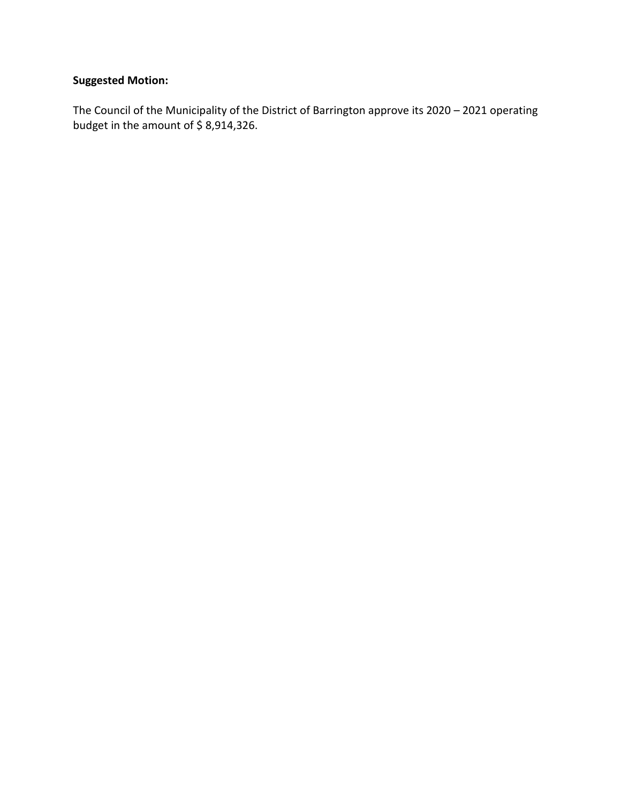### **Suggested Motion:**

The Council of the Municipality of the District of Barrington approve its 2020 – 2021 operating budget in the amount of \$8,914,326.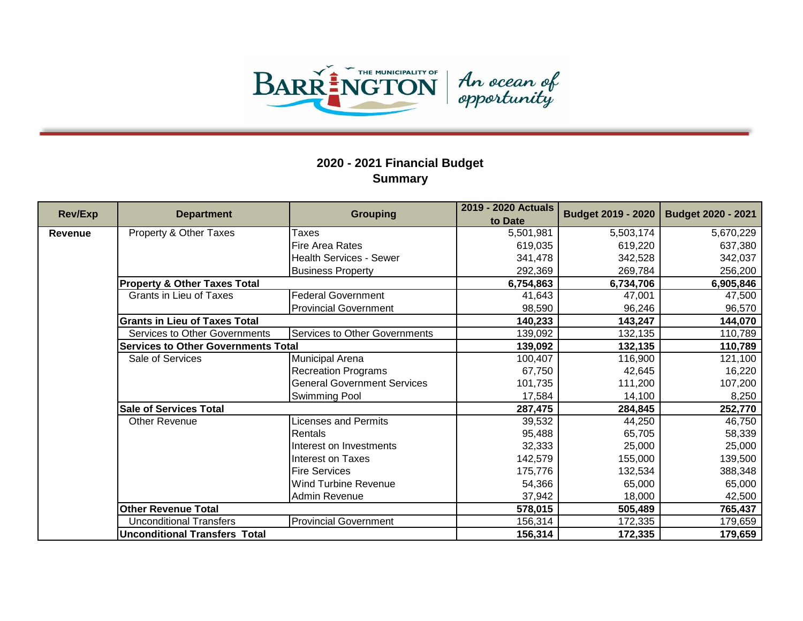

| <b>Rev/Exp</b> | <b>Department</b>                          | <b>Grouping</b>                    | 2019 - 2020 Actuals<br>to Date | <b>Budget 2019 - 2020</b> | <b>Budget 2020 - 2021</b> |
|----------------|--------------------------------------------|------------------------------------|--------------------------------|---------------------------|---------------------------|
| <b>Revenue</b> | Property & Other Taxes                     | Taxes                              | 5,501,981                      | 5,503,174                 | 5,670,229                 |
|                |                                            | <b>Fire Area Rates</b>             | 619,035                        | 619,220                   | 637,380                   |
|                |                                            | Health Services - Sewer            | 341,478                        | 342,528                   | 342,037                   |
|                |                                            | <b>Business Property</b>           | 292,369                        | 269,784                   | 256,200                   |
|                | <b>Property &amp; Other Taxes Total</b>    |                                    | 6,754,863                      | 6,734,706                 | 6,905,846                 |
|                | Grants in Lieu of Taxes                    | <b>Federal Government</b>          | 41,643                         | 47,001                    | 47,500                    |
|                |                                            | <b>Provincial Government</b>       | 98,590                         | 96,246                    | 96,570                    |
|                | <b>Grants in Lieu of Taxes Total</b>       |                                    | 140,233                        | 143,247                   | 144,070                   |
|                | <b>Services to Other Governments</b>       | Services to Other Governments      | 139,092                        | 132,135                   | 110,789                   |
|                | <b>Services to Other Governments Total</b> |                                    | 139,092                        | 132,135                   | 110,789                   |
|                | Sale of Services                           | Municipal Arena                    | 100,407                        | 116,900                   | 121,100                   |
|                |                                            | <b>Recreation Programs</b>         | 67,750                         | 42,645                    | 16,220                    |
|                |                                            | <b>General Government Services</b> | 101,735                        | 111,200                   | 107,200                   |
|                |                                            | Swimming Pool                      | 17,584                         | 14,100                    | 8,250                     |
|                | <b>Sale of Services Total</b>              |                                    | 287,475                        | 284,845                   | 252,770                   |
|                | <b>Other Revenue</b>                       | Licenses and Permits               | 39,532                         | 44,250                    | 46,750                    |
|                |                                            | Rentals                            | 95,488                         | 65,705                    | 58,339                    |
|                |                                            | Interest on Investments            | 32,333                         | 25,000                    | 25,000                    |
|                |                                            | Interest on Taxes                  | 142,579                        | 155,000                   | 139,500                   |
|                |                                            | <b>Fire Services</b>               | 175,776                        | 132,534                   | 388,348                   |
|                |                                            | <b>Wind Turbine Revenue</b>        | 54,366                         | 65,000                    | 65,000                    |
|                |                                            | Admin Revenue                      | 37,942                         | 18,000                    | 42,500                    |
|                | <b>Other Revenue Total</b>                 |                                    | 578,015                        | 505,489                   | 765,437                   |
|                | <b>Unconditional Transfers</b>             | <b>Provincial Government</b>       | 156,314                        | 172,335                   | 179,659                   |
|                | <b>Unconditional Transfers Total</b>       |                                    | 156,314                        | 172,335                   | 179,659                   |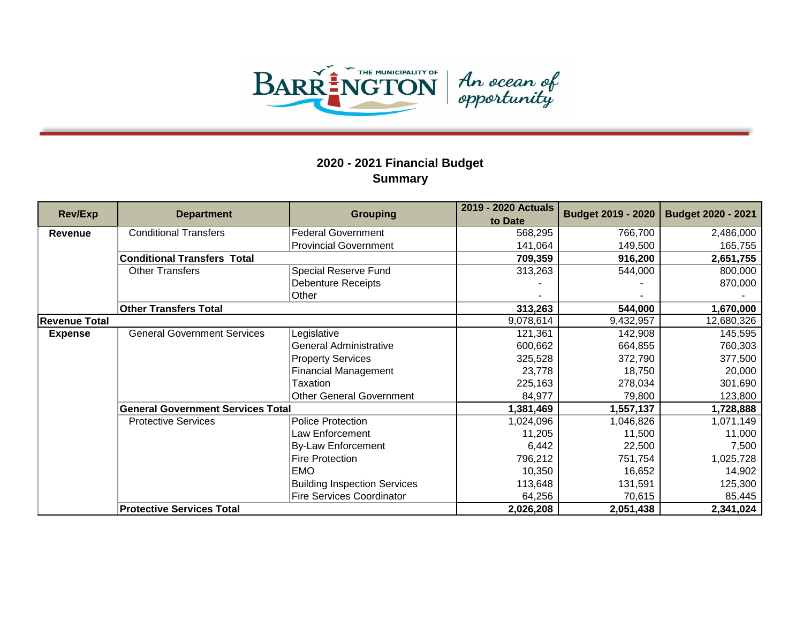

| <b>Rev/Exp</b> | <b>Department</b>                        | <b>Grouping</b>                     | 2019 - 2020 Actuals<br>to Date | <b>Budget 2019 - 2020</b> | <b>Budget 2020 - 2021</b> |
|----------------|------------------------------------------|-------------------------------------|--------------------------------|---------------------------|---------------------------|
| Revenue        | <b>Conditional Transfers</b>             | <b>Federal Government</b>           | 568,295                        | 766,700                   | 2,486,000                 |
|                |                                          | <b>Provincial Government</b>        | 141,064                        | 149,500                   | 165,755                   |
|                | <b>Conditional Transfers Total</b>       |                                     | 709,359                        | 916,200                   | 2,651,755                 |
|                | <b>Other Transfers</b>                   | Special Reserve Fund                | 313,263                        | 544,000                   | 800,000                   |
|                |                                          | <b>Debenture Receipts</b>           |                                |                           | 870,000                   |
|                |                                          | Other                               |                                |                           |                           |
|                | <b>Other Transfers Total</b>             |                                     | 313,263                        | 544,000                   | 1,670,000                 |
| Revenue Total  |                                          |                                     | 9,078,614                      | 9,432,957                 | 12,680,326                |
| <b>Expense</b> | <b>General Government Services</b>       | Legislative                         | 121,361                        | 142,908                   | 145,595                   |
|                |                                          | <b>General Administrative</b>       | 600,662                        | 664,855                   | 760,303                   |
|                |                                          | <b>Property Services</b>            | 325,528                        | 372,790                   | 377,500                   |
|                |                                          | <b>Financial Management</b>         | 23,778                         | 18,750                    | 20,000                    |
|                |                                          | Taxation                            | 225,163                        | 278,034                   | 301,690                   |
|                |                                          | <b>Other General Government</b>     | 84,977                         | 79,800                    | 123,800                   |
|                | <b>General Government Services Total</b> |                                     | 1,381,469                      | 1,557,137                 | 1,728,888                 |
|                | <b>Protective Services</b>               | <b>Police Protection</b>            | 1,024,096                      | 1,046,826                 | 1,071,149                 |
|                |                                          | Law Enforcement                     | 11,205                         | 11,500                    | 11,000                    |
|                |                                          | <b>By-Law Enforcement</b>           | 6,442                          | 22,500                    | 7,500                     |
|                |                                          | <b>Fire Protection</b>              | 796,212                        | 751,754                   | 1,025,728                 |
|                |                                          | <b>EMO</b>                          | 10,350                         | 16,652                    | 14,902                    |
|                |                                          | <b>Building Inspection Services</b> | 113,648                        | 131,591                   | 125,300                   |
|                |                                          | <b>Fire Services Coordinator</b>    | 64,256                         | 70,615                    | 85,445                    |
|                | <b>Protective Services Total</b>         |                                     | 2,026,208                      | 2,051,438                 | 2,341,024                 |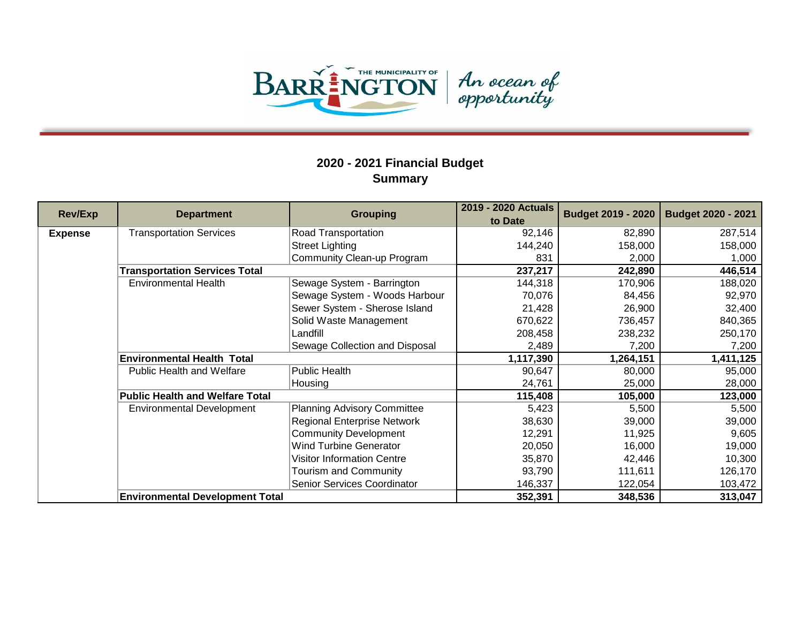

| <b>Rev/Exp</b> | <b>Department</b>                      | <b>Grouping</b>                    | 2019 - 2020 Actuals<br>to Date | <b>Budget 2019 - 2020</b> | <b>Budget 2020 - 2021</b> |
|----------------|----------------------------------------|------------------------------------|--------------------------------|---------------------------|---------------------------|
| <b>Expense</b> | <b>Transportation Services</b>         | Road Transportation                | 92,146                         | 82,890                    | 287,514                   |
|                |                                        | <b>Street Lighting</b>             | 144,240                        | 158,000                   | 158,000                   |
|                |                                        | Community Clean-up Program         | 831                            | 2,000                     | 1,000                     |
|                | <b>Transportation Services Total</b>   |                                    | 237,217                        | 242,890                   | 446,514                   |
|                | <b>Environmental Health</b>            | Sewage System - Barrington         | 144,318                        | 170,906                   | 188,020                   |
|                |                                        | Sewage System - Woods Harbour      | 70,076                         | 84,456                    | 92,970                    |
|                |                                        | Sewer System - Sherose Island      | 21,428                         | 26,900                    | 32,400                    |
|                |                                        | Solid Waste Management             | 670,622                        | 736,457                   | 840,365                   |
|                |                                        | Landfill                           | 208,458                        | 238,232                   | 250,170                   |
|                |                                        | Sewage Collection and Disposal     | 2,489                          | 7,200                     | 7,200                     |
|                | <b>Environmental Health Total</b>      |                                    | 1,117,390                      | 1,264,151                 | 1,411,125                 |
|                | Public Health and Welfare              | Public Health                      | 90,647                         | 80,000                    | 95,000                    |
|                |                                        | Housing                            | 24,761                         | 25,000                    | 28,000                    |
|                | <b>Public Health and Welfare Total</b> |                                    | 115,408                        | 105,000                   | 123,000                   |
|                | <b>Environmental Development</b>       | <b>Planning Advisory Committee</b> | 5,423                          | 5,500                     | 5,500                     |
|                |                                        | <b>Regional Enterprise Network</b> | 38,630                         | 39,000                    | 39,000                    |
|                |                                        | <b>Community Development</b>       | 12,291                         | 11,925                    | 9,605                     |
|                |                                        | <b>Wind Turbine Generator</b>      | 20,050                         | 16,000                    | 19,000                    |
|                |                                        | <b>Visitor Information Centre</b>  | 35,870                         | 42,446                    | 10,300                    |
|                |                                        | Tourism and Community              | 93,790                         | 111,611                   | 126,170                   |
|                |                                        | Senior Services Coordinator        | 146,337                        | 122,054                   | 103,472                   |
|                | <b>Environmental Development Total</b> |                                    | 352,391                        | 348,536                   | 313,047                   |